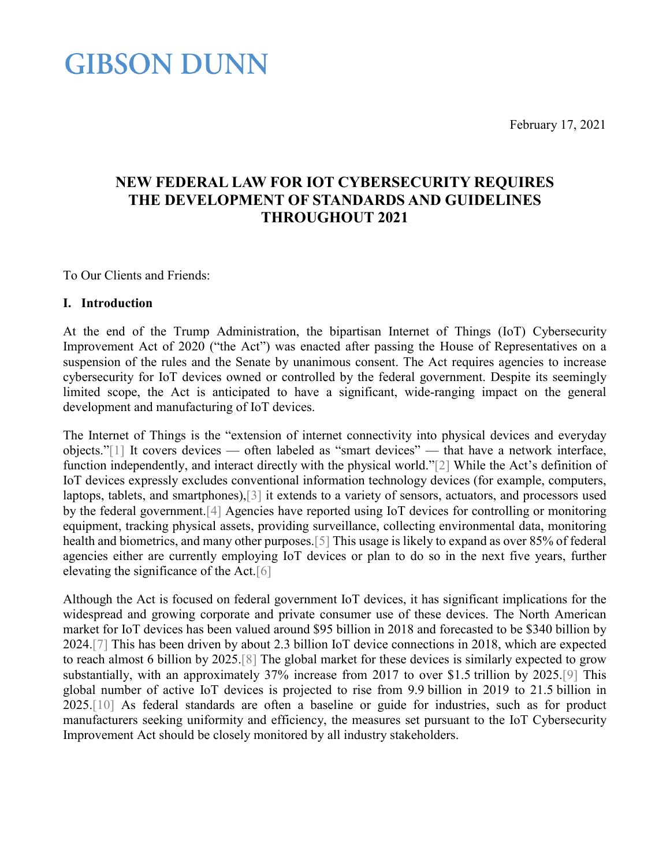February 17, 2021

## **NEW FEDERAL LAW FOR IOT CYBERSECURITY REQUIRES THE DEVELOPMENT OF STANDARDS AND GUIDELINES THROUGHOUT 2021**

<span id="page-0-0"></span>To Our Clients and Friends:

#### **I. Introduction**

At the end of the Trump Administration, the bipartisan Internet of Things (IoT) Cybersecurity Improvement Act of 2020 ("the Act") was enacted after passing the House of Representatives on a suspension of the rules and the Senate by unanimous consent. The Act requires agencies to increase cybersecurity for IoT devices owned or controlled by the federal government. Despite its seemingly limited scope, the Act is anticipated to have a significant, wide-ranging impact on the general development and manufacturing of IoT devices.

The Internet of Things is the "extension of internet connectivity into physical devices and everyday objects.["\[1\]](#page-3-0) It covers devices — often labeled as "smart devices" — that have a network interface, function independently, and interact directly with the physical world.["\[2\]](#page-3-1) While the Act's definition of IoT devices expressly excludes conventional information technology devices (for example, computers, laptops, tablets, and smartphones)[,\[3\]](#page-3-2) it extends to a variety of sensors, actuators, and processors used by the federal government[.\[4\]](#page-0-0) Agencies have reported using IoT devices for controlling or monitoring equipment, tracking physical assets, providing surveillance, collecting environmental data, monitoring health and biometrics, and many other purposes[.\[5\]](#page-4-0) This usage is likely to expand as over 85% of federal agencies either are currently employing IoT devices or plan to do so in the next five years, further elevating the significance of the Act[.\[6\]](#page-4-1)

Although the Act is focused on federal government IoT devices, it has significant implications for the widespread and growing corporate and private consumer use of these devices. The North American market for IoT devices has been valued around \$95 billion in 2018 and forecasted to be \$340 billion by 2024[.\[7\]](#page-4-2) This has been driven by about 2.3 billion IoT device connections in 2018, which are expected to reach almost 6 billion by 2025[.\[8\]](#page-4-3) The global market for these devices is similarly expected to grow substantially, with an approximately 37% increase from 2017 to over \$1.5 trillion by 2025[.\[9\]](#page-4-4) This global number of active IoT devices is projected to rise from 9.9 billion in 2019 to 21.5 billion in 2025[.\[10\]](#page-4-5) As federal standards are often a baseline or guide for industries, such as for product manufacturers seeking uniformity and efficiency, the measures set pursuant to the IoT Cybersecurity Improvement Act should be closely monitored by all industry stakeholders.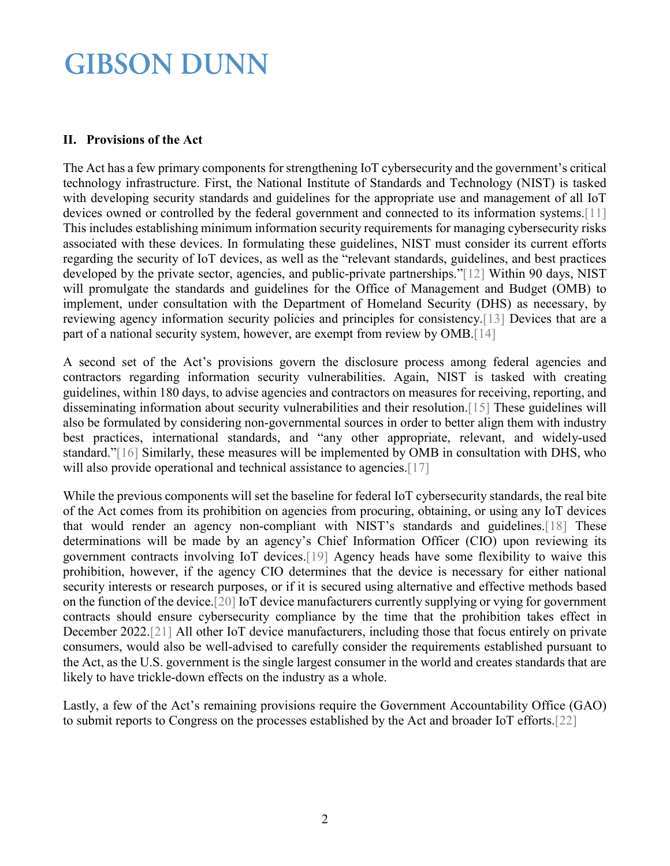#### **II. Provisions of the Act**

The Act has a few primary components for strengthening IoT cybersecurity and the government's critical technology infrastructure. First, the National Institute of Standards and Technology (NIST) is tasked with developing security standards and guidelines for the appropriate use and management of all IoT devices owned or controlled by the federal government and connected to its information systems[.\[11\]](#page-4-6) This includes establishing minimum information security requirements for managing cybersecurity risks associated with these devices. In formulating these guidelines, NIST must consider its current efforts regarding the security of IoT devices, as well as the "relevant standards, guidelines, and best practices developed by the private sector, agencies, and public-private partnerships.["\[12\]](#page-4-7) Within 90 days, NIST will promulgate the standards and guidelines for the Office of Management and Budget (OMB) to implement, under consultation with the Department of Homeland Security (DHS) as necessary, by reviewing agency information security policies and principles for consistency[.\[13\]](#page-4-8) Devices that are a part of a national security system, however, are exempt from review by OMB[.\[14\]](#page-4-9)

A second set of the Act's provisions govern the disclosure process among federal agencies and contractors regarding information security vulnerabilities. Again, NIST is tasked with creating guidelines, within 180 days, to advise agencies and contractors on measures for receiving, reporting, and disseminating information about security vulnerabilities and their resolution[.\[15\]](#page-4-10) These guidelines will also be formulated by considering non-governmental sources in order to better align them with industry best practices, international standards, and "any other appropriate, relevant, and widely-used standard.["\[16\]](#page-4-11) Similarly, these measures will be implemented by OMB in consultation with DHS, who will also provide operational and technical assistance to agencies[.\[17\]](#page-4-12)

While the previous components will set the baseline for federal IoT cybersecurity standards, the real bite of the Act comes from its prohibition on agencies from procuring, obtaining, or using any IoT devices that would render an agency non-compliant with NIST's standards and guidelines[.\[18\]](#page-4-13) These determinations will be made by an agency's Chief Information Officer (CIO) upon reviewing its government contracts involving IoT devices[.\[19\]](#page-4-14) Agency heads have some flexibility to waive this prohibition, however, if the agency CIO determines that the device is necessary for either national security interests or research purposes, or if it is secured using alternative and effective methods based on the function of the device[.\[20\]](#page-4-15) IoT device manufacturers currently supplying or vying for government contracts should ensure cybersecurity compliance by the time that the prohibition takes effect in December 2022[.\[21\]](#page-4-16) All other IoT device manufacturers, including those that focus entirely on private consumers, would also be well-advised to carefully consider the requirements established pursuant to the Act, as the U.S. government is the single largest consumer in the world and creates standards that are likely to have trickle-down effects on the industry as a whole.

Lastly, a few of the Act's remaining provisions require the Government Accountability Office (GAO) to submit reports to Congress on the processes established by the Act and broader IoT efforts[.\[22\]](#page-4-17)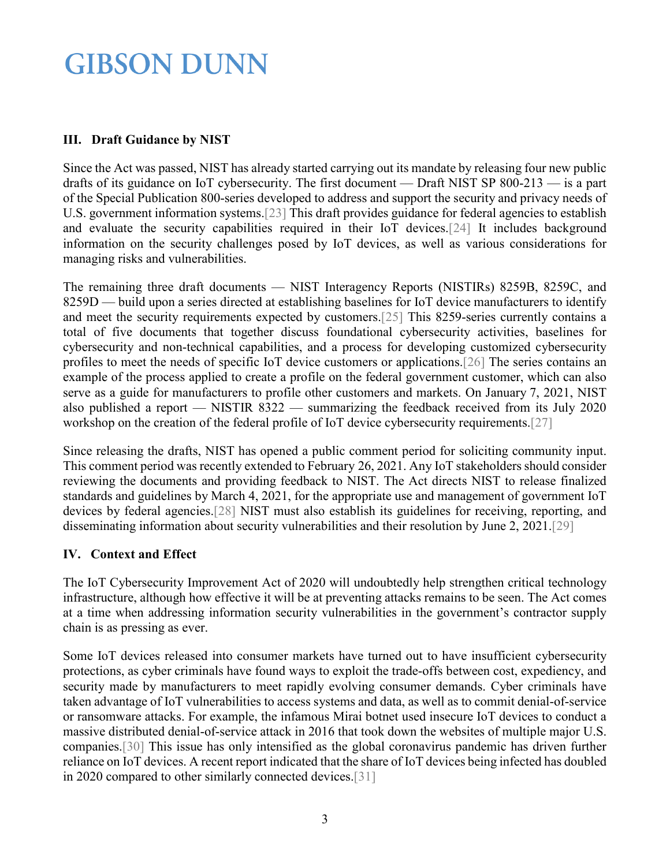### **III. Draft Guidance by NIST**

Since the Act was passed, NIST has already started carrying out its mandate by releasing four new public drafts of its guidance on IoT cybersecurity. The first document — Draft NIST SP 800-213 — is a part of the Special Publication 800-series developed to address and support the security and privacy needs of U.S. government information systems[.\[23\]](#page-5-0) This draft provides guidance for federal agencies to establish and evaluate the security capabilities required in their IoT devices[.\[24\]](#page-5-1) It includes background information on the security challenges posed by IoT devices, as well as various considerations for managing risks and vulnerabilities.

The remaining three draft documents — NIST Interagency Reports (NISTIRs) 8259B, 8259C, and 8259D — build upon a series directed at establishing baselines for IoT device manufacturers to identify and meet the security requirements expected by customers[.\[25\]](#page-5-2) This 8259-series currently contains a total of five documents that together discuss foundational cybersecurity activities, baselines for cybersecurity and non-technical capabilities, and a process for developing customized cybersecurity profiles to meet the needs of specific IoT device customers or applications[.\[26\]](#page-5-3) The series contains an example of the process applied to create a profile on the federal government customer, which can also serve as a guide for manufacturers to profile other customers and markets. On January 7, 2021, NIST also published a report — NISTIR 8322 — summarizing the feedback received from its July 2020 workshop on the creation of the federal profile of IoT device cybersecurity requirements[.\[27\]](#page-5-4)

Since releasing the drafts, NIST has opened a public comment period for soliciting community input. This comment period was recently extended to February 26, 2021. Any IoT stakeholders should consider reviewing the documents and providing feedback to NIST. The Act directs NIST to release finalized standards and guidelines by March 4, 2021, for the appropriate use and management of government IoT devices by federal agencies[.\[28\]](#page-5-5) NIST must also establish its guidelines for receiving, reporting, and disseminating information about security vulnerabilities and their resolution by June 2, 2021[.\[29\]](#page-5-6)

### **IV. Context and Effect**

The IoT Cybersecurity Improvement Act of 2020 will undoubtedly help strengthen critical technology infrastructure, although how effective it will be at preventing attacks remains to be seen. The Act comes at a time when addressing information security vulnerabilities in the government's contractor supply chain is as pressing as ever.

Some IoT devices released into consumer markets have turned out to have insufficient cybersecurity protections, as cyber criminals have found ways to exploit the trade-offs between cost, expediency, and security made by manufacturers to meet rapidly evolving consumer demands. Cyber criminals have taken advantage of IoT vulnerabilities to access systems and data, as well as to commit denial-of-service or ransomware attacks. For example, the infamous Mirai botnet used insecure IoT devices to conduct a massive distributed denial-of-service attack in 2016 that took down the websites of multiple major U.S. companies[.\[30\]](#page-5-7) This issue has only intensified as the global coronavirus pandemic has driven further reliance on IoT devices. A recent report indicated that the share of IoT devices being infected has doubled in 2020 compared to other similarly connected devices[.\[31\]](#page-5-8)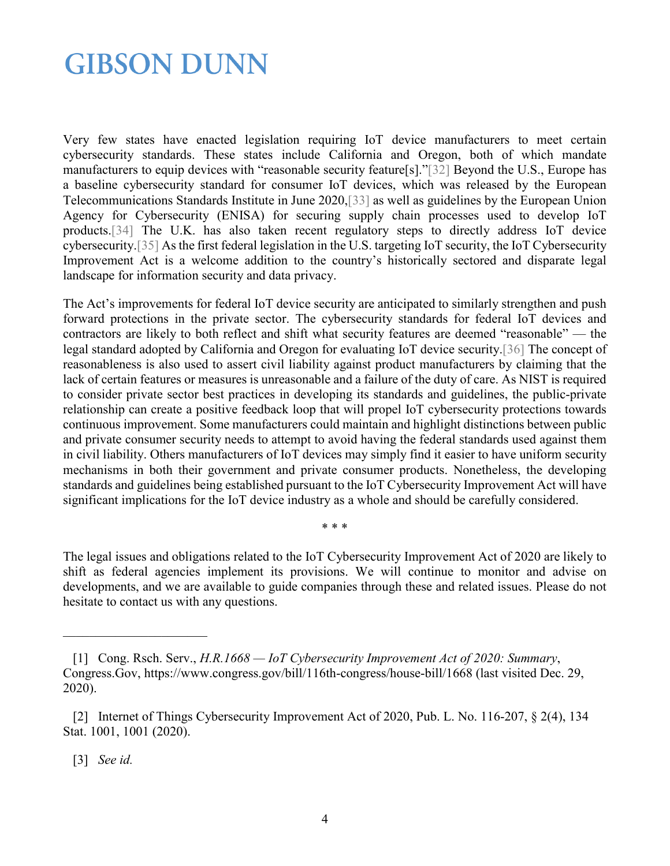Very few states have enacted legislation requiring IoT device manufacturers to meet certain cybersecurity standards. These states include California and Oregon, both of which mandate manufacturers to equip devices with "reasonable security feature[s].["\[32\]](#page-5-9) Beyond the U.S., Europe has a baseline cybersecurity standard for consumer IoT devices, which was released by the European Telecommunications Standards Institute in June 2020[,\[33\]](#page-6-0) as well as guidelines by the European Union Agency for Cybersecurity (ENISA) for securing supply chain processes used to develop IoT products[.\[34\]](#page-6-1) The U.K. has also taken recent regulatory steps to directly address IoT device cybersecurity[.\[35\]](#page-6-2) As the first federal legislation in the U.S. targeting IoT security, the IoT Cybersecurity Improvement Act is a welcome addition to the country's historically sectored and disparate legal landscape for information security and data privacy.

The Act's improvements for federal IoT device security are anticipated to similarly strengthen and push forward protections in the private sector. The cybersecurity standards for federal IoT devices and contractors are likely to both reflect and shift what security features are deemed "reasonable" — the legal standard adopted by California and Oregon for evaluating IoT device security[.\[36\]](#page-6-3) The concept of reasonableness is also used to assert civil liability against product manufacturers by claiming that the lack of certain features or measures is unreasonable and a failure of the duty of care. As NIST is required to consider private sector best practices in developing its standards and guidelines, the public-private relationship can create a positive feedback loop that will propel IoT cybersecurity protections towards continuous improvement. Some manufacturers could maintain and highlight distinctions between public and private consumer security needs to attempt to avoid having the federal standards used against them in civil liability. Others manufacturers of IoT devices may simply find it easier to have uniform security mechanisms in both their government and private consumer products. Nonetheless, the developing standards and guidelines being established pursuant to the IoT Cybersecurity Improvement Act will have significant implications for the IoT device industry as a whole and should be carefully considered.

\* \* \*

The legal issues and obligations related to the IoT Cybersecurity Improvement Act of 2020 are likely to shift as federal agencies implement its provisions. We will continue to monitor and advise on developments, and we are available to guide companies through these and related issues. Please do not hesitate to contact us with any questions.

<span id="page-3-0"></span> $\mathcal{L}_\text{max}$  , where  $\mathcal{L}_\text{max}$ 

 <sup>[1]</sup> Cong. Rsch. Serv., *H.R.1668 — IoT Cybersecurity Improvement Act of 2020: Summary*, Congress.Gov, https://www.congress.gov/bill/116th-congress/house-bill/1668 (last visited Dec. 29, 2020).

<span id="page-3-1"></span> <sup>[2]</sup> Internet of Things Cybersecurity Improvement Act of 2020, Pub. L. No. 116-207, § 2(4), 134 Stat. 1001, 1001 (2020).

<span id="page-3-2"></span> <sup>[3]</sup> *See id.*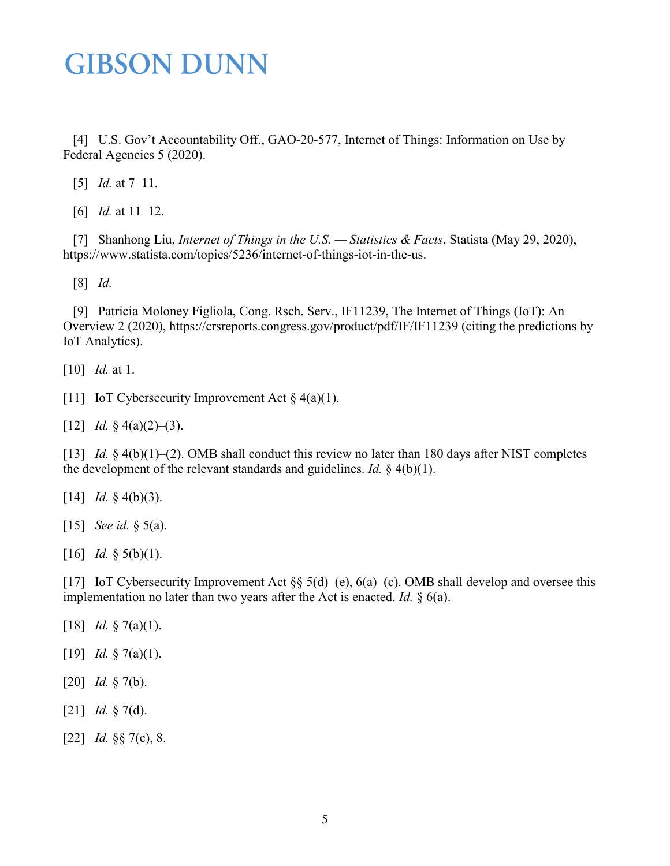[4] U.S. Gov't Accountability Off., GAO-20-577, Internet of Things: Information on Use by Federal Agencies 5 (2020).

<span id="page-4-1"></span><span id="page-4-0"></span>[5] *Id.* at 7–11.

[6] *Id.* at 11–12.

<span id="page-4-2"></span> [7] Shanhong Liu, *Internet of Things in the U.S. — Statistics & Facts*, Statista (May 29, 2020), https://www.statista.com/topics/5236/internet-of-things-iot-in-the-us.

<span id="page-4-3"></span>[8] *Id.*

<span id="page-4-4"></span> [9] Patricia Moloney Figliola, Cong. Rsch. Serv., IF11239, The Internet of Things (IoT): An Overview 2 (2020), https://crsreports.congress.gov/product/pdf/IF/IF11239 (citing the predictions by IoT Analytics).

<span id="page-4-6"></span><span id="page-4-5"></span>[10] *Id.* at 1.

<span id="page-4-7"></span>[11] IoT Cybersecurity Improvement Act  $\S$  4(a)(1).

<span id="page-4-8"></span>[12] *Id.* § 4(a)(2)–(3).

[13] *Id.* § 4(b)(1)–(2). OMB shall conduct this review no later than 180 days after NIST completes the development of the relevant standards and guidelines. *Id.* § 4(b)(1).

<span id="page-4-10"></span><span id="page-4-9"></span>[14] *Id.* § 4(b)(3).

<span id="page-4-11"></span>[15] *See id.* § 5(a).

<span id="page-4-12"></span>[16] *Id.* § 5(b)(1).

[17] IoT Cybersecurity Improvement Act §§ 5(d)–(e), 6(a)–(c). OMB shall develop and oversee this implementation no later than two years after the Act is enacted. *Id.* § 6(a).

- <span id="page-4-14"></span><span id="page-4-13"></span>[18] *Id.* § 7(a)(1).
- <span id="page-4-15"></span>[19] *Id.* § 7(a)(1).
- <span id="page-4-16"></span>[20] *Id.* § 7(b).
- <span id="page-4-17"></span>[21] *Id.* § 7(d).
- [22] *Id.* §§ 7(c), 8.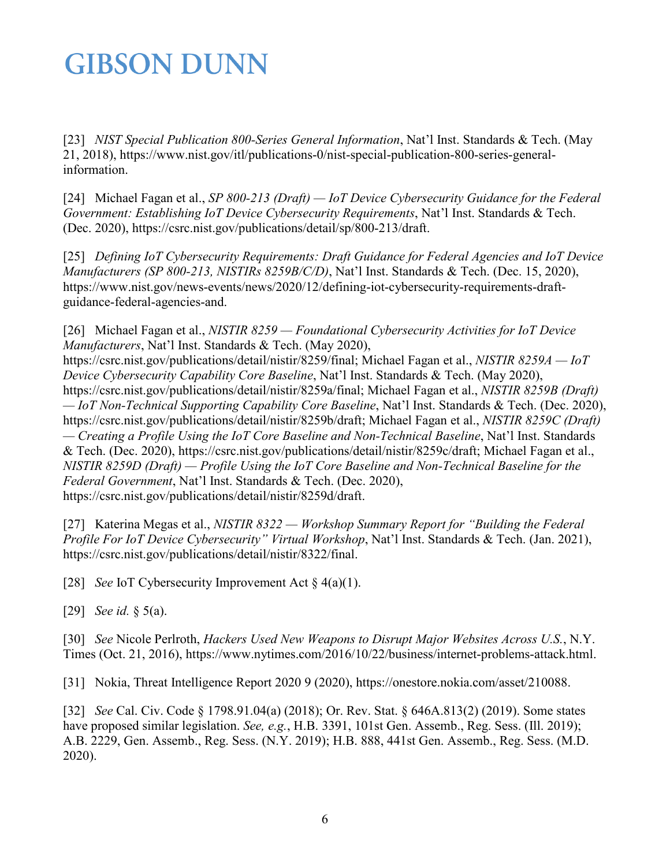<span id="page-5-0"></span>[23] *NIST Special Publication 800-Series General Information*, Nat'l Inst. Standards & Tech. (May 21, 2018), https://www.nist.gov/itl/publications-0/nist-special-publication-800-series-generalinformation.

<span id="page-5-1"></span>[24] Michael Fagan et al., *SP 800-213 (Draft) — IoT Device Cybersecurity Guidance for the Federal Government: Establishing IoT Device Cybersecurity Requirements*, Nat'l Inst. Standards & Tech. (Dec. 2020), https://csrc.nist.gov/publications/detail/sp/800-213/draft.

<span id="page-5-2"></span>[25] *Defining IoT Cybersecurity Requirements: Draft Guidance for Federal Agencies and IoT Device Manufacturers (SP 800-213, NISTIRs 8259B/C/D)*, Nat'l Inst. Standards & Tech. (Dec. 15, 2020), https://www.nist.gov/news-events/news/2020/12/defining-iot-cybersecurity-requirements-draftguidance-federal-agencies-and.

<span id="page-5-3"></span>[26] Michael Fagan et al., *NISTIR 8259 — Foundational Cybersecurity Activities for IoT Device Manufacturers*, Nat'l Inst. Standards & Tech. (May 2020),

https://csrc.nist.gov/publications/detail/nistir/8259/final; Michael Fagan et al., *NISTIR 8259A — IoT Device Cybersecurity Capability Core Baseline*, Nat'l Inst. Standards & Tech. (May 2020), https://csrc.nist.gov/publications/detail/nistir/8259a/final; Michael Fagan et al., *NISTIR 8259B (Draft) — IoT Non-Technical Supporting Capability Core Baseline*, Nat'l Inst. Standards & Tech. (Dec. 2020), https://csrc.nist.gov/publications/detail/nistir/8259b/draft; Michael Fagan et al., *NISTIR 8259C (Draft) — Creating a Profile Using the IoT Core Baseline and Non-Technical Baseline*, Nat'l Inst. Standards & Tech. (Dec. 2020), https://csrc.nist.gov/publications/detail/nistir/8259c/draft; Michael Fagan et al., *NISTIR 8259D (Draft) — Profile Using the IoT Core Baseline and Non-Technical Baseline for the Federal Government*, Nat'l Inst. Standards & Tech. (Dec. 2020), https://csrc.nist.gov/publications/detail/nistir/8259d/draft.

<span id="page-5-4"></span>[27] Katerina Megas et al., *NISTIR 8322 — Workshop Summary Report for "Building the Federal Profile For IoT Device Cybersecurity" Virtual Workshop*, Nat'l Inst. Standards & Tech. (Jan. 2021), https://csrc.nist.gov/publications/detail/nistir/8322/final.

<span id="page-5-6"></span><span id="page-5-5"></span>[28] *See* IoT Cybersecurity Improvement Act § 4(a)(1).

<span id="page-5-7"></span>[29] *See id.* § 5(a).

[30] *See* Nicole Perlroth, *Hackers Used New Weapons to Disrupt Major Websites Across U.S.*, N.Y. Times (Oct. 21, 2016), https://www.nytimes.com/2016/10/22/business/internet-problems-attack.html.

<span id="page-5-9"></span><span id="page-5-8"></span>[31] Nokia, Threat Intelligence Report 2020 9 (2020), https://onestore.nokia.com/asset/210088.

[32] *See* Cal. Civ. Code § 1798.91.04(a) (2018); Or. Rev. Stat. § 646A.813(2) (2019). Some states have proposed similar legislation. *See, e.g.*, H.B. 3391, 101st Gen. Assemb., Reg. Sess. (Ill. 2019); A.B. 2229, Gen. Assemb., Reg. Sess. (N.Y. 2019); H.B. 888, 441st Gen. Assemb., Reg. Sess. (M.D. 2020).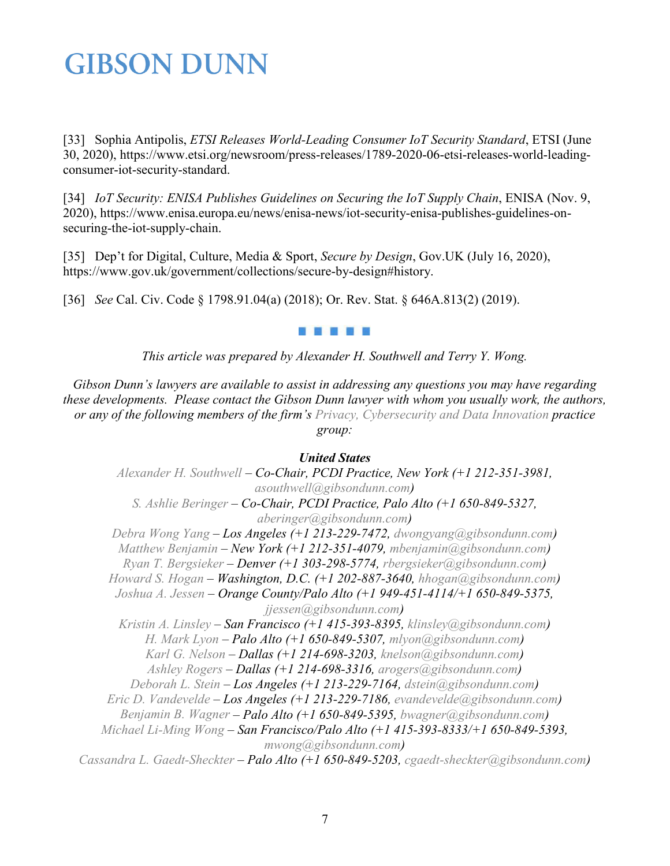<span id="page-6-0"></span>[33] Sophia Antipolis, *ETSI Releases World-Leading Consumer IoT Security Standard*, ETSI (June 30, 2020), https://www.etsi.org/newsroom/press-releases/1789-2020-06-etsi-releases-world-leadingconsumer-iot-security-standard.

<span id="page-6-1"></span>[34] *IoT Security: ENISA Publishes Guidelines on Securing the IoT Supply Chain*, ENISA (Nov. 9, 2020), https://www.enisa.europa.eu/news/enisa-news/iot-security-enisa-publishes-guidelines-onsecuring-the-iot-supply-chain.

<span id="page-6-2"></span>[35] Dep't for Digital, Culture, Media & Sport, *Secure by Design*, Gov.UK (July 16, 2020), https://www.gov.uk/government/collections/secure-by-design#history.

<span id="page-6-3"></span>[36] *See* Cal. Civ. Code § 1798.91.04(a) (2018); Or. Rev. Stat. § 646A.813(2) (2019).

#### . . . . .

*This article was prepared by Alexander H. Southwell and Terry Y. Wong.*

*Gibson Dunn's lawyers are available to assist in addressing any questions you may have regarding these developments. Please contact the Gibson Dunn lawyer with whom you usually work, the authors, or any of the following members of the firm's [Privacy, Cybersecurity and Data Innovation](https://www.gibsondunn.com/practice/privacy-cybersecurity-and-data-innovation/) practice group:*

### *United States*

*[Alexander H. Southwell](https://www.gibsondunn.com/lawyer/southwell-alexander-h/) – Co-Chair, PCDI Practice, New York (+1 212-351-3981, [asouthwell@gibsondunn.com\)](mailto:asouthwell@gibsondunn.com) [S. Ashlie Beringer](https://www.gibsondunn.com/lawyer/beringer-s-ashlie/) – Co-Chair, PCDI Practice, Palo Alto (+1 650-849-5327, [aberinger@gibsondunn.com\)](mailto:aberinger@gibsondunn.com) [Debra Wong Yang](https://www.gibsondunn.com/lawyer/yang-debra-wong/) – Los Angeles (+1 213-229-7472, [dwongyang@gibsondunn.com\)](mailto:dwongyang@gibsondunn.com) [Matthew Benjamin](https://www.gibsondunn.com/lawyer/benjamin-matthew/) – New York (+1 212-351-4079, [mbenjamin@gibsondunn.com\)](mailto:mbenjamin@gibsondunn.com) [Ryan T. Bergsieker](https://www.gibsondunn.com/lawyer/bergsieker-ryan-t/) – Denver (+1 303-298-5774, [rbergsieker@gibsondunn.com\)](mailto:rbergsieker@gibsondunn.com) [Howard S. Hogan](https://www.gibsondunn.com/lawyer/hogan-howard-s/) – Washington, D.C. (+1 202-887-3640, [hhogan@gibsondunn.com\)](mailto:hhogan@gibsondunn.com) [Joshua A. Jessen](https://www.gibsondunn.com/lawyer/jessen-joshua-a/) – Orange County/Palo Alto (+1 949-451-4114/+1 650-849-5375, [jjessen@gibsondunn.com\)](mailto:jjessen@gibsondunn.com) [Kristin A. Linsley](https://www.gibsondunn.com/lawyer/linsley-kristin-a/) – San Francisco (+1 415-393-8395, [klinsley@gibsondunn.com\)](mailto:klinsley@gibsondunn.com) [H. Mark Lyon](https://www.gibsondunn.com/lawyer/lyon-h-mark/) – Palo Alto (+1 650-849-5307, [mlyon@gibsondunn.com\)](mailto:mlyon@gibsondunn.com) [Karl G. Nelson](https://www.gibsondunn.com/lawyer/nelson-karl-g/) – Dallas (+1 214-698-3203, [knelson@gibsondunn.com\)](mailto:knelson@gibsondunn.com) [Ashley Rogers](https://www.gibsondunn.com/lawyer/rogers-ashley/) – Dallas (+1 214-698-3316, [arogers@gibsondunn.com\)](mailto:arogers@gibsondunn.com) [Deborah L. Stein](https://www.gibsondunn.com/lawyer/stein-deborah-l/) – Los Angeles (+1 213-229-7164, [dstein@gibsondunn.com\)](mailto:dstein@gibsondunn.com) [Eric D. Vandevelde](https://www.gibsondunn.com/lawyer/vandevelde-eric-d/) – Los Angeles (+1 213-229-7186, [evandevelde@gibsondunn.com\)](mailto:evandevelde@gibsondunn.com) [Benjamin B. Wagner](https://www.gibsondunn.com/lawyer/wagner-benjamin/) – Palo Alto (+1 650-849-5395, [bwagner@gibsondunn.com\)](mailto:bwagner@gibsondunn.com) [Michael Li-Ming Wong](https://www.gibsondunn.com/lawyer/wong-michael-li-ming/) – San Francisco/Palo Alto (+1 415-393-8333/+1 650-849-5393, [mwong@gibsondunn.com\)](mailto:mwong@gibsondunn.com) [Cassandra L. Gaedt-Sheckter](https://www.gibsondunn.com/lawyer/gaedt-sheckter-cassandra-l/) – Palo Alto (+1 650-849-5203, [cgaedt-sheckter@gibsondunn.com\)](mailto:cgaedt-sheckter@gibsondunn.com)*